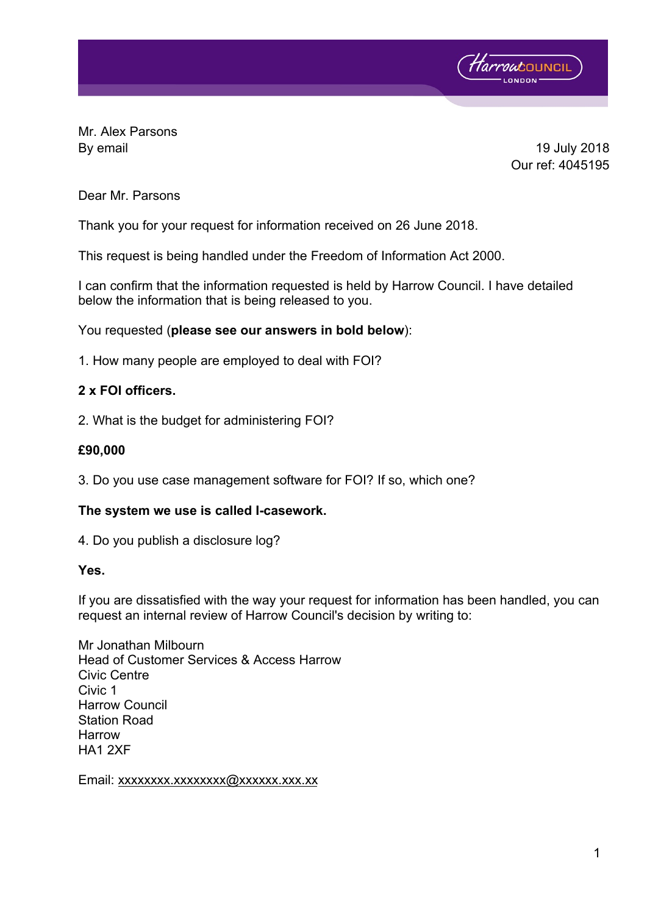

Mr. Alex Parsons By email 19 July 2018

Our ref: 4045195

# Dear Mr. Parsons

Thank you for your request for information received on 26 June 2018.

This request is being handled under the Freedom of Information Act 2000.

I can confirm that the information requested is held by Harrow Council. I have detailed below the information that is being released to you.

# You requested (**please see our answers in bold below**):

1. How many people are employed to deal with FOI?

# **2 x FOI officers.**

2. What is the budget for administering FOI?

# **£90,000**

3. Do you use case management software for FOI? If so, which one?

# **The system we use is called I-casework.**

4. Do you publish a disclosure log?

# **Yes.**

If you are dissatisfied with the way your request for information has been handled, you can request an internal review of Harrow Council's decision by writing to:

Mr Jonathan Milbourn Head of Customer Services & Access Harrow Civic Centre Civic 1 Harrow Council Station Road Harrow HA1 2XF

Email: xxxxxxxx.xxxxxxxxx@xxxxxx.xxx.xx